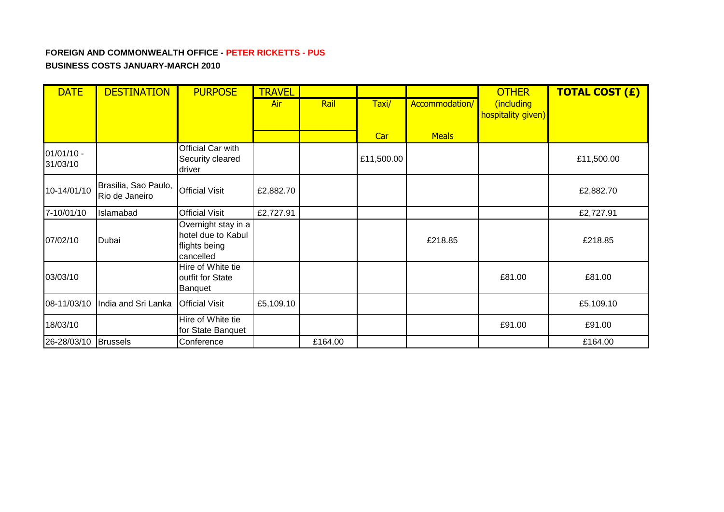## **FOREIGN AND COMMONWEALTH OFFICE - PETER RICKETTS - PUS BUSINESS COSTS JANUARY-MARCH 2010**

| <b>DATE</b>              | <b>DESTINATION</b>                     | <b>PURPOSE</b>                                                          | <b>TRAVEL</b> |         |            |                | <b>OTHER</b>                     | <b>TOTAL COST (£)</b> |
|--------------------------|----------------------------------------|-------------------------------------------------------------------------|---------------|---------|------------|----------------|----------------------------------|-----------------------|
|                          |                                        |                                                                         | Air           | Rail    | Taxi/      | Accommodation/ | (including<br>hospitality given) |                       |
|                          |                                        |                                                                         |               |         | Car        | <b>Meals</b>   |                                  |                       |
| $01/01/10 -$<br>31/03/10 |                                        | Official Car with<br>Security cleared<br>driver                         |               |         | £11,500.00 |                |                                  | £11,500.00            |
| 10-14/01/10              | Brasilia, Sao Paulo,<br>Rio de Janeiro | <b>Official Visit</b>                                                   | £2,882.70     |         |            |                |                                  | £2,882.70             |
| 7-10/01/10               | Islamabad                              | <b>Official Visit</b>                                                   | £2,727.91     |         |            |                |                                  | £2,727.91             |
| 07/02/10                 | Dubai                                  | Overnight stay in a<br>hotel due to Kabul<br>flights being<br>cancelled |               |         |            | £218.85        |                                  | £218.85               |
| 03/03/10                 |                                        | Hire of White tie<br>outfit for State<br><b>Banquet</b>                 |               |         |            |                | £81.00                           | £81.00                |
| 08-11/03/10              | India and Sri Lanka                    | <b>Official Visit</b>                                                   | £5,109.10     |         |            |                |                                  | £5,109.10             |
| 18/03/10                 |                                        | Hire of White tie<br>for State Banquet                                  |               |         |            |                | £91.00                           | £91.00                |
| 26-28/03/10              | <b>Brussels</b>                        | Conference                                                              |               | £164.00 |            |                |                                  | £164.00               |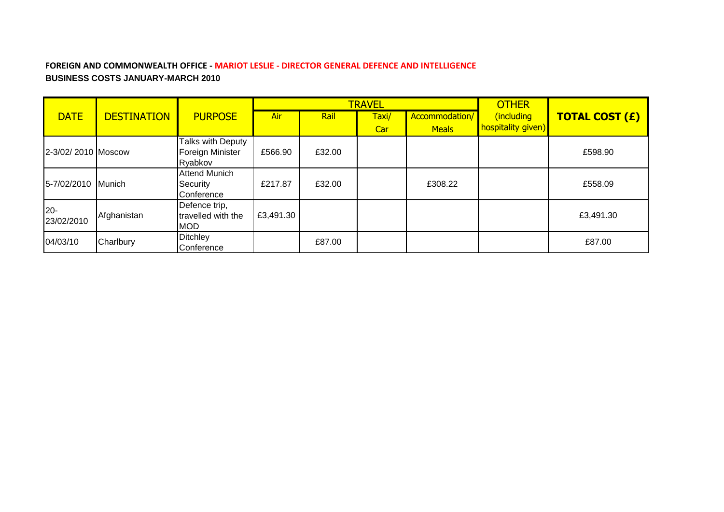### **FOREIGN AND COMMONWEALTH OFFICE - MARIOT LESLIE - DIRECTOR GENERAL DEFENCE AND INTELLIGENCE BUSINESS COSTS JANUARY-MARCH 2010**

|                    |                    |                      |           |        | <b>TRAVEL</b> |                | <b>OTHER</b>       |                       |
|--------------------|--------------------|----------------------|-----------|--------|---------------|----------------|--------------------|-----------------------|
| <b>DATE</b>        | <b>DESTINATION</b> | <b>PURPOSE</b>       | Air       | Rail   | Taxi/         | Accommodation/ | (including         | <b>TOTAL COST (£)</b> |
|                    |                    |                      |           |        | Car           | <b>Meals</b>   | hospitality given) |                       |
|                    |                    | Talks with Deputy    |           |        |               |                |                    |                       |
| 2-3/02/2010 Moscow |                    | Foreign Minister     | £566.90   | £32.00 |               |                |                    | £598.90               |
|                    |                    | Ryabkov              |           |        |               |                |                    |                       |
|                    |                    | <b>Attend Munich</b> |           |        |               |                |                    |                       |
| 5-7/02/2010 Munich |                    | Security             | £217.87   | £32.00 |               | £308.22        |                    | £558.09               |
|                    |                    | Conference           |           |        |               |                |                    |                       |
| $20 -$             |                    | Defence trip,        |           |        |               |                |                    |                       |
| 23/02/2010         | Afghanistan        | travelled with the   | £3,491.30 |        |               |                |                    | £3,491.30             |
|                    |                    | <b>MOD</b>           |           |        |               |                |                    |                       |
| 04/03/10           | Charlbury          | <b>Ditchley</b>      |           | £87.00 |               |                |                    | £87.00                |
|                    |                    | Conference           |           |        |               |                |                    |                       |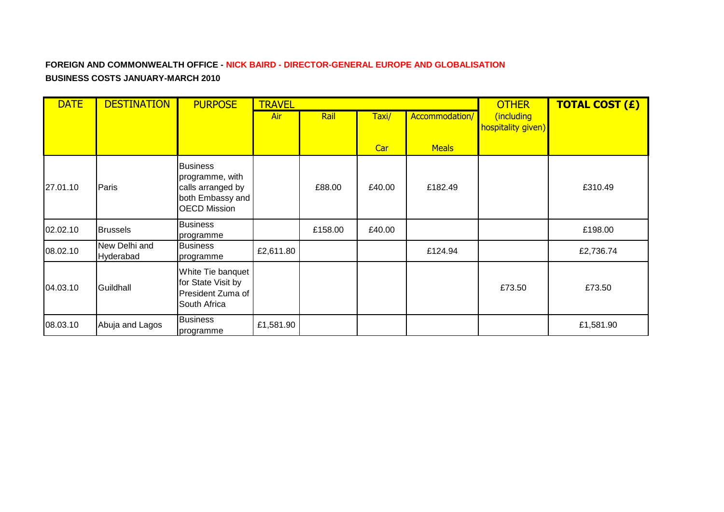# **FOREIGN AND COMMONWEALTH OFFICE - NICK BAIRD - DIRECTOR-GENERAL EUROPE AND GLOBALISATION BUSINESS COSTS JANUARY-MARCH 2010**

| <b>DATE</b> | <b>DESTINATION</b>         | <b>PURPOSE</b>                                                                                     | <b>TRAVEL</b> |         |        |                |                                  | <b>TOTAL COST (£)</b> |
|-------------|----------------------------|----------------------------------------------------------------------------------------------------|---------------|---------|--------|----------------|----------------------------------|-----------------------|
|             |                            |                                                                                                    | Air           | Rail    | Taxi/  | Accommodation/ | (including<br>hospitality given) |                       |
|             |                            |                                                                                                    |               |         | Car    | <b>Meals</b>   |                                  |                       |
| 27.01.10    | Paris                      | <b>Business</b><br>programme, with<br>calls arranged by<br>both Embassy and<br><b>OECD Mission</b> |               | £88.00  | £40.00 | £182.49        |                                  | £310.49               |
| 02.02.10    | <b>Brussels</b>            | <b>Business</b><br>programme                                                                       |               | £158.00 | £40.00 |                |                                  | £198.00               |
| 08.02.10    | New Delhi and<br>Hyderabad | <b>Business</b><br>programme                                                                       | £2,611.80     |         |        | £124.94        |                                  | £2,736.74             |
| 04.03.10    | Guildhall                  | White Tie banquet<br>for State Visit by<br>President Zuma of<br>South Africa                       |               |         |        |                | £73.50                           | £73.50                |
| 08.03.10    | Abuja and Lagos            | <b>Business</b><br>programme                                                                       | £1,581.90     |         |        |                |                                  | £1,581.90             |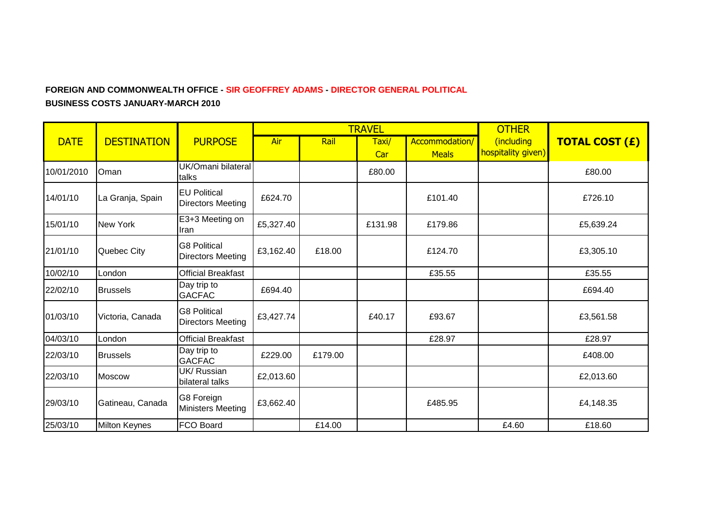## **FOREIGN AND COMMONWEALTH OFFICE - SIR GEOFFREY ADAMS - DIRECTOR GENERAL POLITICAL BUSINESS COSTS JANUARY-MARCH 2010**

|             |                      |                                                 |           |         | <b>TRAVEL</b> | <b>OTHER</b>                   |                                  |                       |
|-------------|----------------------|-------------------------------------------------|-----------|---------|---------------|--------------------------------|----------------------------------|-----------------------|
| <b>DATE</b> | <b>DESTINATION</b>   | <b>PURPOSE</b>                                  | Air       | Rail    | Taxi/<br>Car  | Accommodation/<br><b>Meals</b> | (including<br>hospitality given) | <b>TOTAL COST (£)</b> |
| 10/01/2010  | Oman                 | UK/Omani bilateral<br>talks                     |           |         | £80.00        |                                |                                  | £80.00                |
| 14/01/10    | La Granja, Spain     | <b>EU Political</b><br><b>Directors Meeting</b> | £624.70   |         |               | £101.40                        |                                  | £726.10               |
| 15/01/10    | <b>New York</b>      | E3+3 Meeting on<br>Iran                         | £5,327.40 |         | £131.98       | £179.86                        |                                  | £5,639.24             |
| 21/01/10    | Quebec City          | <b>G8 Political</b><br><b>Directors Meeting</b> | £3,162.40 | £18.00  |               | £124.70                        |                                  | £3,305.10             |
| 10/02/10    | London               | <b>Official Breakfast</b>                       |           |         |               | £35.55                         |                                  | £35.55                |
| 22/02/10    | <b>Brussels</b>      | Day trip to<br><b>GACFAC</b>                    | £694.40   |         |               |                                |                                  | £694.40               |
| 01/03/10    | Victoria, Canada     | <b>G8 Political</b><br><b>Directors Meeting</b> | £3,427.74 |         | £40.17        | £93.67                         |                                  | £3,561.58             |
| 04/03/10    | London               | <b>Official Breakfast</b>                       |           |         |               | £28.97                         |                                  | £28.97                |
| 22/03/10    | <b>Brussels</b>      | Day trip to<br><b>GACFAC</b>                    | £229.00   | £179.00 |               |                                |                                  | £408.00               |
| 22/03/10    | <b>Moscow</b>        | UK/ Russian<br>bilateral talks                  | £2,013.60 |         |               |                                |                                  | £2,013.60             |
| 29/03/10    | Gatineau, Canada     | G8 Foreign<br><b>Ministers Meeting</b>          | £3,662.40 |         |               | £485.95                        |                                  | £4,148.35             |
| 25/03/10    | <b>Milton Keynes</b> | FCO Board                                       |           | £14.00  |               |                                | £4.60                            | £18.60                |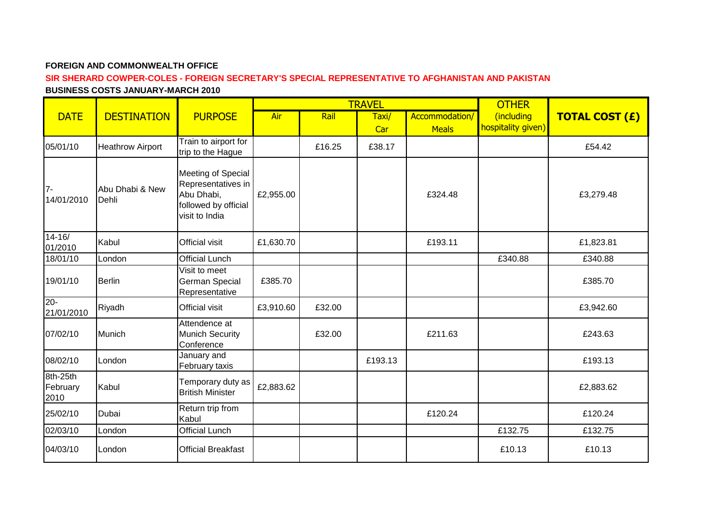#### **FOREIGN AND COMMONWEALTH OFFICE**

#### **SIR SHERARD COWPER-COLES - FOREIGN SECRETARY'S SPECIAL REPRESENTATIVE TO AFGHANISTAN AND PAKISTAN BUSINESS COSTS JANUARY-MARCH 2010**

|                              |                          |                                                                                                  |           |        | <b>TRAVEL</b> |                | <b>OTHER</b>       |                       |
|------------------------------|--------------------------|--------------------------------------------------------------------------------------------------|-----------|--------|---------------|----------------|--------------------|-----------------------|
| <b>DATE</b>                  | <b>DESTINATION</b>       | <b>PURPOSE</b>                                                                                   | Air       | Rail   | Taxi/         | Accommodation/ | (including         | <b>TOTAL COST (£)</b> |
|                              |                          |                                                                                                  |           |        | Car           | <b>Meals</b>   | hospitality given) |                       |
| 05/01/10                     | <b>Heathrow Airport</b>  | Train to airport for<br>trip to the Hague                                                        |           | £16.25 | £38.17        |                |                    | £54.42                |
| $7 -$<br>14/01/2010          | Abu Dhabi & New<br>Dehli | Meeting of Special<br>Representatives in<br>Abu Dhabi,<br>followed by official<br>visit to India | £2,955.00 |        |               | £324.48        |                    | £3,279.48             |
| $14 - 16/$<br>01/2010        | Kabul                    | Official visit                                                                                   | £1,630.70 |        |               | £193.11        |                    | £1,823.81             |
| 18/01/10                     | London                   | <b>Official Lunch</b>                                                                            |           |        |               |                | £340.88            | £340.88               |
| 19/01/10                     | <b>Berlin</b>            | Visit to meet<br>German Special<br>Representative                                                | £385.70   |        |               |                |                    | £385.70               |
| $20 -$<br>21/01/2010         | Riyadh                   | Official visit                                                                                   | £3,910.60 | £32.00 |               |                |                    | £3,942.60             |
| 07/02/10                     | Munich                   | Attendence at<br><b>Munich Security</b><br>Conference                                            |           | £32.00 |               | £211.63        |                    | £243.63               |
| 08/02/10                     | London                   | January and<br>February taxis                                                                    |           |        | £193.13       |                |                    | £193.13               |
| 8th-25th<br>February<br>2010 | Kabul                    | Temporary duty as<br><b>British Minister</b>                                                     | £2,883.62 |        |               |                |                    | £2,883.62             |
| 25/02/10                     | Dubai                    | Return trip from<br>Kabul                                                                        |           |        |               | £120.24        |                    | £120.24               |
| 02/03/10                     | London                   | <b>Official Lunch</b>                                                                            |           |        |               |                | £132.75            | £132.75               |
| 04/03/10                     | London                   | <b>Official Breakfast</b>                                                                        |           |        |               |                | £10.13             | £10.13                |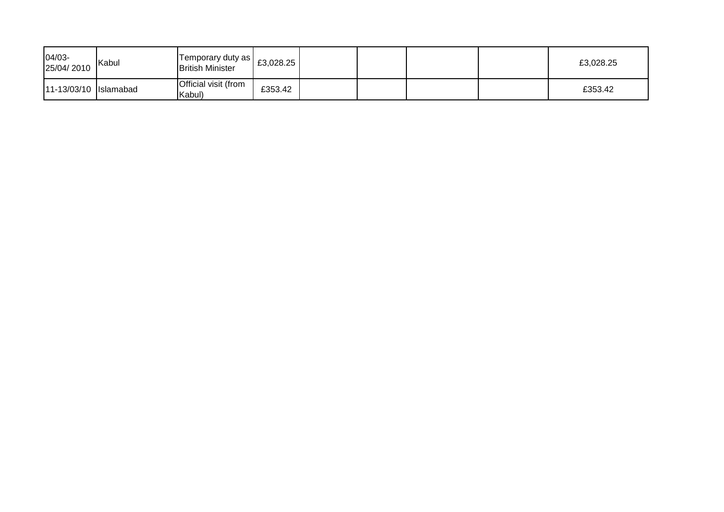| 04/03-<br>25/04/2010  | Kabul | Temporary duty as  <br><b>British Minister</b> | £3,028.25 |  |  | £3,028.25 |
|-----------------------|-------|------------------------------------------------|-----------|--|--|-----------|
| 11-13/03/10 Islamabad |       | Official visit (from<br>Kabul)                 | £353.42   |  |  | £353.42   |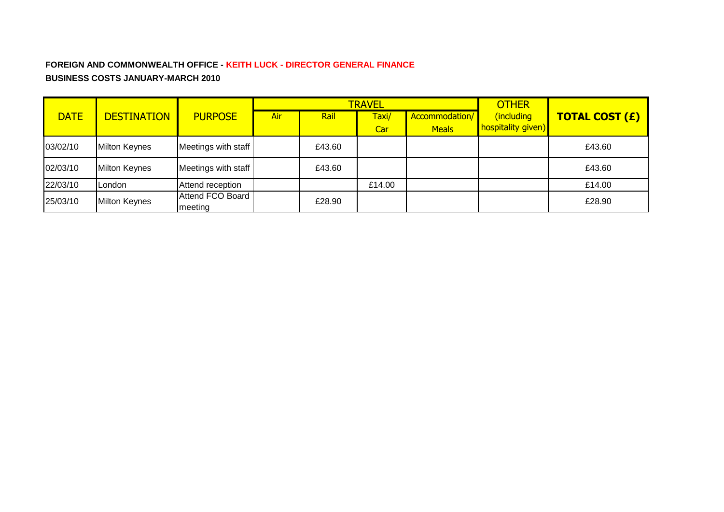# **FOREIGN AND COMMONWEALTH OFFICE - KEITH LUCK - DIRECTOR GENERAL FINANCE BUSINESS COSTS JANUARY-MARCH 2010**

|             |                      |                             |     |        | <b>TRAVEL</b> | <b>OTHER</b>   |                    |                       |
|-------------|----------------------|-----------------------------|-----|--------|---------------|----------------|--------------------|-----------------------|
| <b>DATE</b> | <b>DESTINATION</b>   | <b>PURPOSE</b>              | Air | Rail   | Taxi/         | Accommodation/ | (including         | <b>TOTAL COST (£)</b> |
|             |                      |                             |     |        | Car           | <b>Meals</b>   | hospitality given) |                       |
| 03/02/10    | <b>Milton Keynes</b> | Meetings with staff         |     | £43.60 |               |                |                    | £43.60                |
| 02/03/10    | <b>Milton Keynes</b> | Meetings with staff         |     | £43.60 |               |                |                    | £43.60                |
| 22/03/10    | London               | Attend reception            |     |        | £14.00        |                |                    | £14.00                |
| 25/03/10    | <b>Milton Keynes</b> | Attend FCO Board<br>meeting |     | £28.90 |               |                |                    | £28.90                |